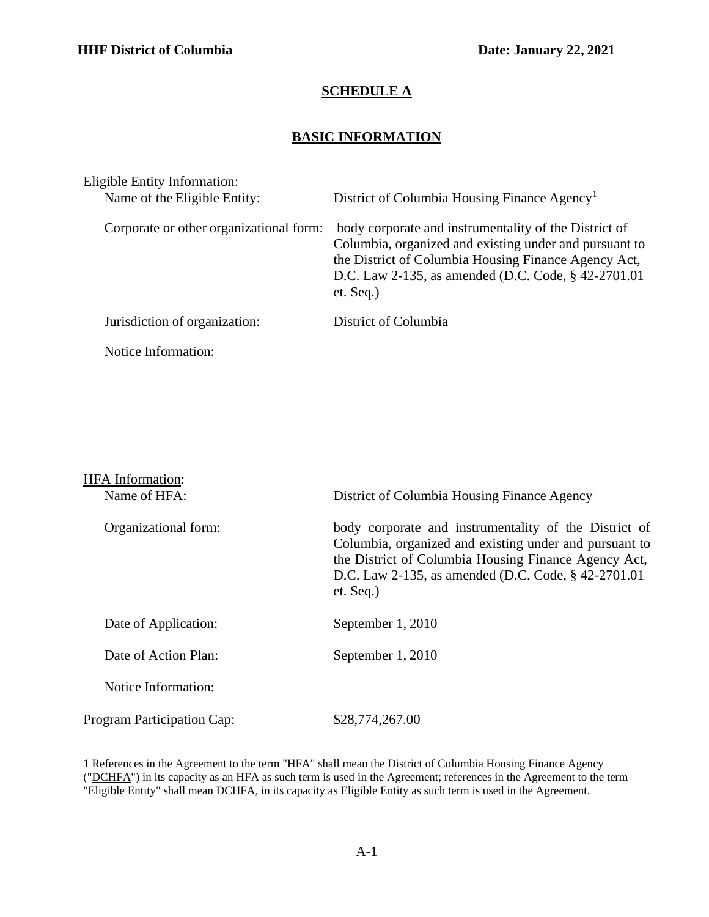## **SCHEDULE A**

## **BASIC INFORMATION**

| Eligible Entity Information: |                                         |                                                                                                                                                                                                                                               |  |  |
|------------------------------|-----------------------------------------|-----------------------------------------------------------------------------------------------------------------------------------------------------------------------------------------------------------------------------------------------|--|--|
|                              | Name of the Eligible Entity:            | District of Columbia Housing Finance Agency <sup>1</sup>                                                                                                                                                                                      |  |  |
|                              | Corporate or other organizational form: | body corporate and instrumentality of the District of<br>Columbia, organized and existing under and pursuant to<br>the District of Columbia Housing Finance Agency Act,<br>D.C. Law 2-135, as amended (D.C. Code, § 42-2701.01<br>$et.$ Seq.) |  |  |
|                              | Jurisdiction of organization:           | District of Columbia                                                                                                                                                                                                                          |  |  |
|                              | Notice Information:                     |                                                                                                                                                                                                                                               |  |  |

| <b>HFA</b> Information:           |                                                                                                                                                                                                                                                |
|-----------------------------------|------------------------------------------------------------------------------------------------------------------------------------------------------------------------------------------------------------------------------------------------|
| Name of HFA:                      | District of Columbia Housing Finance Agency                                                                                                                                                                                                    |
| Organizational form:              | body corporate and instrumentality of the District of<br>Columbia, organized and existing under and pursuant to<br>the District of Columbia Housing Finance Agency Act,<br>D.C. Law 2-135, as amended (D.C. Code, § 42-2701.01)<br>$et.$ Seq.) |
| Date of Application:              | September 1, 2010                                                                                                                                                                                                                              |
| Date of Action Plan:              | September 1, 2010                                                                                                                                                                                                                              |
| Notice Information:               |                                                                                                                                                                                                                                                |
| <b>Program Participation Cap:</b> | \$28,774,267.00                                                                                                                                                                                                                                |

<span id="page-0-0"></span><sup>1</sup> References in the Agreement to the term "HFA" shall mean the District of Columbia Housing Finance Agency ("DCHFA") in its capacity as an HFA as such term is used in the Agreement; references in the Agreement to the term "Eligible Entity" shall mean DCHFA, in its capacity as Eligible Entity as such term is used in the Agreement.